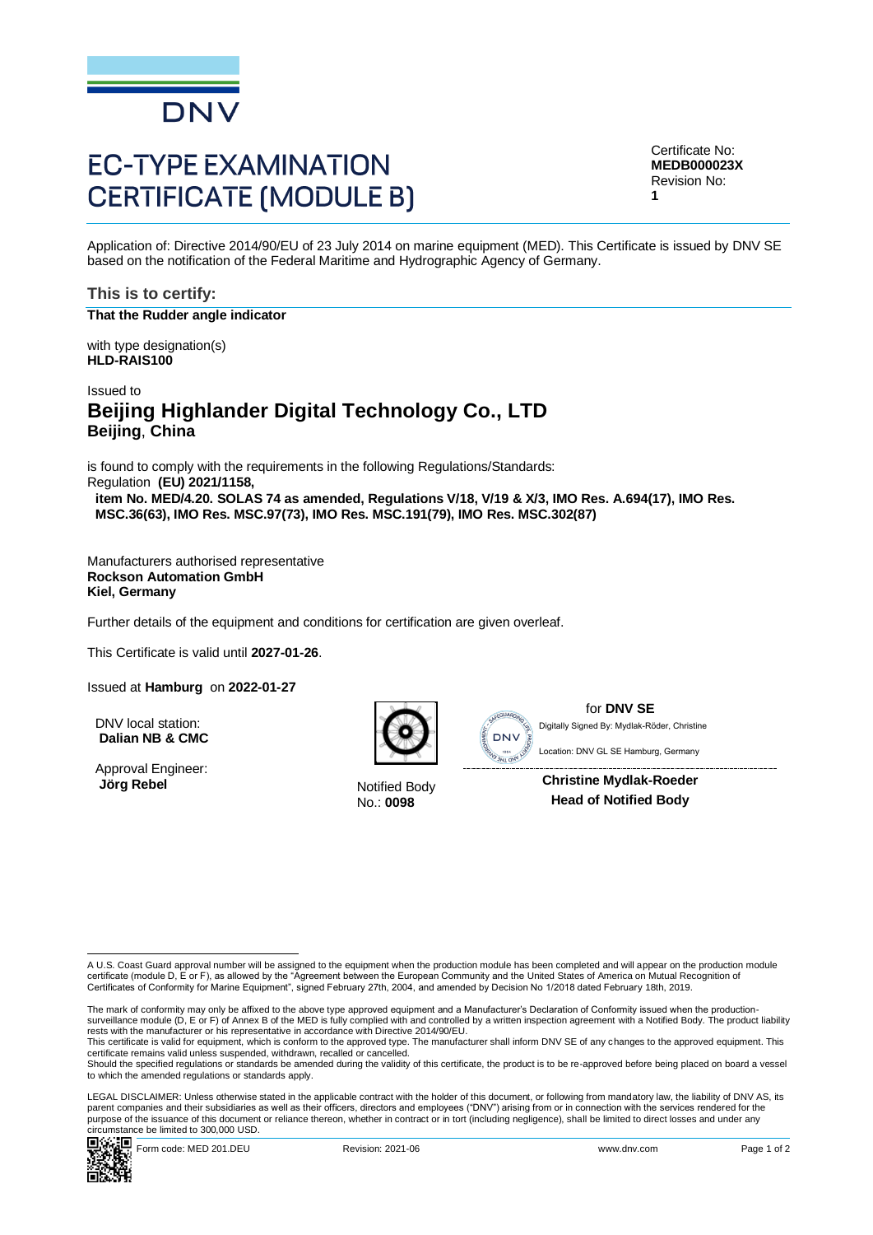

# **EC-TYPE EXAMINATION CERTIFICATE (MODULE B)**

Certificate No: **MEDB000023X** Revision No: **1**

Application of: Directive 2014/90/EU of 23 July 2014 on marine equipment (MED). This Certificate is issued by DNV SE based on the notification of the Federal Maritime and Hydrographic Agency of Germany.

## **This is to certify:**

**That the Rudder angle indicator**

with type designation(s) **HLD-RAIS100**

## Issued to **Beijing Highlander Digital Technology Co., LTD Beijing**, **China**

is found to comply with the requirements in the following Regulations/Standards: Regulation **(EU) 2021/1158, item No. MED/4.20. SOLAS 74 as amended, Regulations V/18, V/19 & X/3, IMO Res. A.694(17), IMO Res. MSC.36(63), IMO Res. MSC.97(73), IMO Res. MSC.191(79), IMO Res. MSC.302(87)**

Manufacturers authorised representative **Rockson Automation GmbH Kiel, Germany**

Further details of the equipment and conditions for certification are given overleaf.

This Certificate is valid until **2027-01-26**.

Issued at **Hamburg** on **2022-01-27**

DNV local station: **Dalian NB & CMC**

Approval Engineer: **Jörg Rebel** Notified Body



No.: **0098**



for **DNV SE** Location: DNV GL SE Hamburg, Germany Digitally Signed By: Mydlak-Röder, Christine

**Christine Mydlak-Roeder Head of Notified Body**

LEGAL DISCLAIMER: Unless otherwise stated in the applicable contract with the holder of this document, or following from mandatory law, the liability of DNV AS, its parent companies and their subsidiaries as well as their officers, directors and employees ("DNV") arising from or in connection with the services rendered for the purpose of the issuance of this document or reliance thereon, whether in contract or in tort (including negligence), shall be limited to direct losses and under any circumstance be limited to 300,000 USD.<br> $\Box$ 



A U.S. Coast Guard approval number will be assigned to the equipment when the production module has been completed and will appear on the production module<br>certificate (module D, E or F), as allowed by the "Agreement betwe Certificates of Conformity for Marine Equipment", signed February 27th, 2004, and amended by Decision No 1/2018 dated February 18th, 2019.

The mark of conformity may only be affixed to the above type approved equipment and a Manufacturer's Declaration of Conformity issued when the productionsurveillance module (D, E or F) of Annex B of the MED is fully complied with and controlled by a written inspection agreement with a Notified Body. The product liability rests with the manufacturer or his representative in accordance with Directive 2014/90/EU.<br>This certificate is valid for equipment, which is conform to the approved type. The manufacturer shall inform DNV SE of any changes

certificate remains valid unless suspended, withdrawn, recalled or cancelled.

Should the specified regulations or standards be amended during the validity of this certificate, the product is to be re-approved before being placed on board a vessel to which the amended regulations or standards apply.